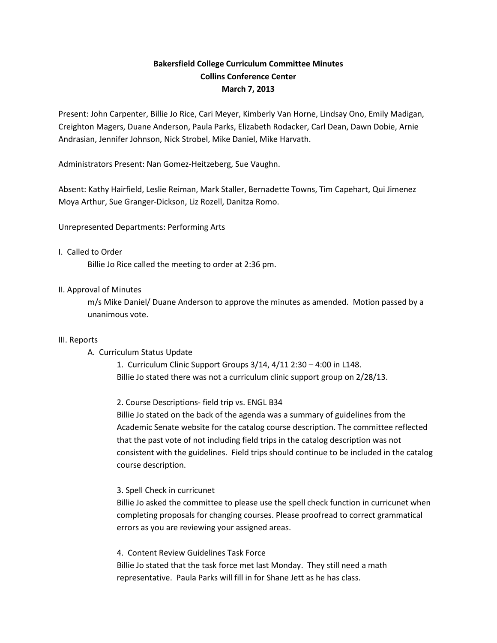# **Bakersfield College Curriculum Committee Minutes Collins Conference Center March 7, 2013**

Present: John Carpenter, Billie Jo Rice, Cari Meyer, Kimberly Van Horne, Lindsay Ono, Emily Madigan, Creighton Magers, Duane Anderson, Paula Parks, Elizabeth Rodacker, Carl Dean, Dawn Dobie, Arnie Andrasian, Jennifer Johnson, Nick Strobel, Mike Daniel, Mike Harvath.

Administrators Present: Nan Gomez-Heitzeberg, Sue Vaughn.

Absent: Kathy Hairfield, Leslie Reiman, Mark Staller, Bernadette Towns, Tim Capehart, Qui Jimenez Moya Arthur, Sue Granger-Dickson, Liz Rozell, Danitza Romo.

Unrepresented Departments: Performing Arts

### I. Called to Order

Billie Jo Rice called the meeting to order at 2:36 pm.

### II. Approval of Minutes

m/s Mike Daniel/ Duane Anderson to approve the minutes as amended. Motion passed by a unanimous vote.

#### III. Reports

### A. Curriculum Status Update

1. Curriculum Clinic Support Groups 3/14, 4/11 2:30 – 4:00 in L148. Billie Jo stated there was not a curriculum clinic support group on 2/28/13.

2. Course Descriptions- field trip vs. ENGL B34

Billie Jo stated on the back of the agenda was a summary of guidelines from the Academic Senate website for the catalog course description. The committee reflected that the past vote of not including field trips in the catalog description was not consistent with the guidelines. Field trips should continue to be included in the catalog course description.

### 3. Spell Check in curricunet

Billie Jo asked the committee to please use the spell check function in curricunet when completing proposals for changing courses. Please proofread to correct grammatical errors as you are reviewing your assigned areas.

4. Content Review Guidelines Task Force Billie Jo stated that the task force met last Monday. They still need a math representative. Paula Parks will fill in for Shane Jett as he has class.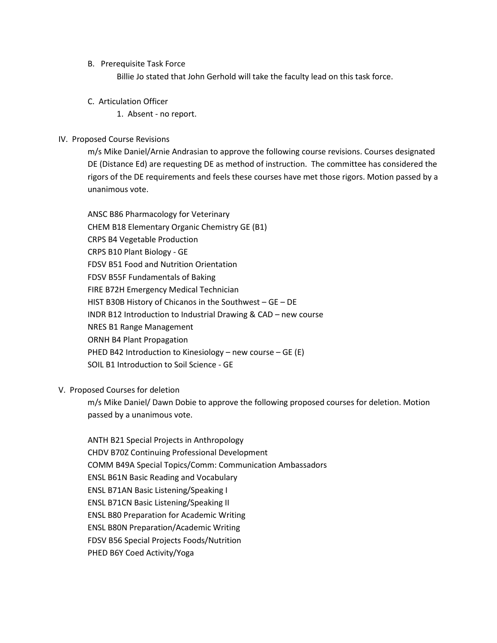B. Prerequisite Task Force

Billie Jo stated that John Gerhold will take the faculty lead on this task force.

C. Articulation Officer

1. Absent - no report.

## IV. Proposed Course Revisions

m/s Mike Daniel/Arnie Andrasian to approve the following course revisions. Courses designated DE (Distance Ed) are requesting DE as method of instruction. The committee has considered the rigors of the DE requirements and feels these courses have met those rigors. Motion passed by a unanimous vote.

ANSC B86 Pharmacology for Veterinary CHEM B18 Elementary Organic Chemistry GE (B1) CRPS B4 Vegetable Production CRPS B10 Plant Biology - GE FDSV B51 Food and Nutrition Orientation FDSV B55F Fundamentals of Baking FIRE B72H Emergency Medical Technician HIST B30B History of Chicanos in the Southwest – GE – DE INDR B12 Introduction to Industrial Drawing & CAD – new course NRES B1 Range Management ORNH B4 Plant Propagation PHED B42 Introduction to Kinesiology – new course – GE (E) SOIL B1 Introduction to Soil Science - GE

### V. Proposed Courses for deletion

m/s Mike Daniel/ Dawn Dobie to approve the following proposed courses for deletion. Motion passed by a unanimous vote.

ANTH B21 Special Projects in Anthropology CHDV B70Z Continuing Professional Development COMM B49A Special Topics/Comm: Communication Ambassadors ENSL B61N Basic Reading and Vocabulary ENSL B71AN Basic Listening/Speaking I ENSL B71CN Basic Listening/Speaking II ENSL B80 Preparation for Academic Writing ENSL B80N Preparation/Academic Writing FDSV B56 Special Projects Foods/Nutrition PHED B6Y Coed Activity/Yoga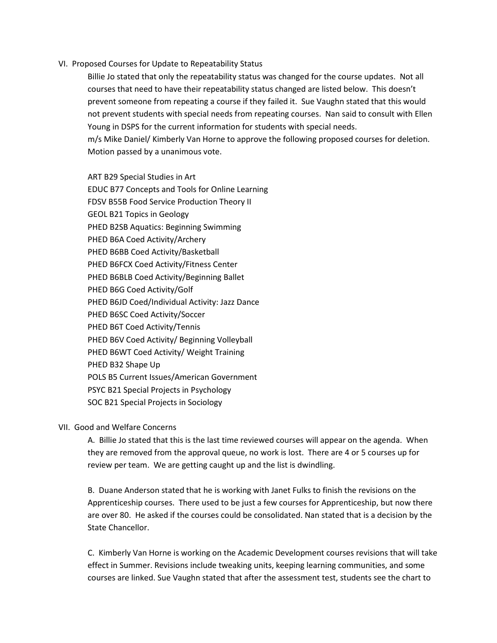VI. Proposed Courses for Update to Repeatability Status

Billie Jo stated that only the repeatability status was changed for the course updates. Not all courses that need to have their repeatability status changed are listed below. This doesn't prevent someone from repeating a course if they failed it. Sue Vaughn stated that this would not prevent students with special needs from repeating courses. Nan said to consult with Ellen Young in DSPS for the current information for students with special needs. m/s Mike Daniel/ Kimberly Van Horne to approve the following proposed courses for deletion. Motion passed by a unanimous vote.

ART B29 Special Studies in Art EDUC B77 Concepts and Tools for Online Learning FDSV B55B Food Service Production Theory II GEOL B21 Topics in Geology PHED B2SB Aquatics: Beginning Swimming PHED B6A Coed Activity/Archery PHED B6BB Coed Activity/Basketball PHED B6FCX Coed Activity/Fitness Center PHED B6BLB Coed Activity/Beginning Ballet PHED B6G Coed Activity/Golf PHED B6JD Coed/Individual Activity: Jazz Dance PHED B6SC Coed Activity/Soccer PHED B6T Coed Activity/Tennis PHED B6V Coed Activity/ Beginning Volleyball PHED B6WT Coed Activity/ Weight Training PHED B32 Shape Up POLS B5 Current Issues/American Government PSYC B21 Special Projects in Psychology SOC B21 Special Projects in Sociology

#### VII. Good and Welfare Concerns

A. Billie Jo stated that this is the last time reviewed courses will appear on the agenda. When they are removed from the approval queue, no work is lost. There are 4 or 5 courses up for review per team. We are getting caught up and the list is dwindling.

B. Duane Anderson stated that he is working with Janet Fulks to finish the revisions on the Apprenticeship courses. There used to be just a few courses for Apprenticeship, but now there are over 80. He asked if the courses could be consolidated. Nan stated that is a decision by the State Chancellor.

C. Kimberly Van Horne is working on the Academic Development courses revisions that will take effect in Summer. Revisions include tweaking units, keeping learning communities, and some courses are linked. Sue Vaughn stated that after the assessment test, students see the chart to